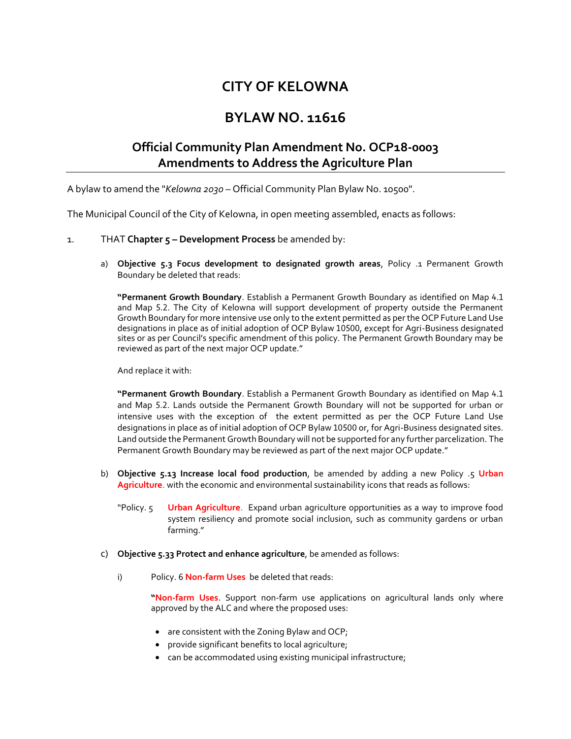## **CITY OF KELOWNA**

## **BYLAW NO. 11616**

## **Official Community Plan Amendment No. OCP18-0003 Amendments to Address the Agriculture Plan**

A bylaw to amend the "*Kelowna 2030* – Official Community Plan Bylaw No. 10500".

The Municipal Council of the City of Kelowna, in open meeting assembled, enacts as follows:

## 1. THAT **Chapter 5 – Development Process** be amended by:

a) **Objective 5.3 Focus development to designated growth areas**, Policy .1 Permanent Growth Boundary be deleted that reads:

**"Permanent Growth Boundary**. Establish a Permanent Growth Boundary as identified on Map 4.1 and Map 5.2. The City of Kelowna will support development of property outside the Permanent Growth Boundary for more intensive use only to the extent permitted as per the OCP Future Land Use designations in place as of initial adoption of OCP Bylaw 10500, except for Agri-Business designated sites or as per Council's specific amendment of this policy. The Permanent Growth Boundary may be reviewed as part of the next major OCP update."

And replace it with:

**"Permanent Growth Boundary**. Establish a Permanent Growth Boundary as identified on Map 4.1 and Map 5.2. Lands outside the Permanent Growth Boundary will not be supported for urban or intensive uses with the exception of the extent permitted as per the OCP Future Land Use designations in place as of initial adoption of OCP Bylaw 10500 or, for Agri-Business designated sites. Land outside the Permanent Growth Boundary will not be supported for any further parcelization. The Permanent Growth Boundary may be reviewed as part of the next major OCP update."

- b) **Objective 5.13 Increase local food production**, be amended by adding a new Policy .5 **Urban Agriculture**. with the economic and environmental sustainability icons that reads as follows:
	- "Policy. 5 **Urban Agriculture**. Expand urban agriculture opportunities as a way to improve food system resiliency and promote social inclusion, such as community gardens or urban farming."
- c) **Objective 5.33 Protect and enhance agriculture**, be amended as follows:
	- i) Policy. 6 **Non-farm Uses** be deleted that reads:

**"Non-farm Uses**. Support non-farm use applications on agricultural lands only where approved by the ALC and where the proposed uses:

- are consistent with the Zoning Bylaw and OCP;
- provide significant benefits to local agriculture;
- can be accommodated using existing municipal infrastructure;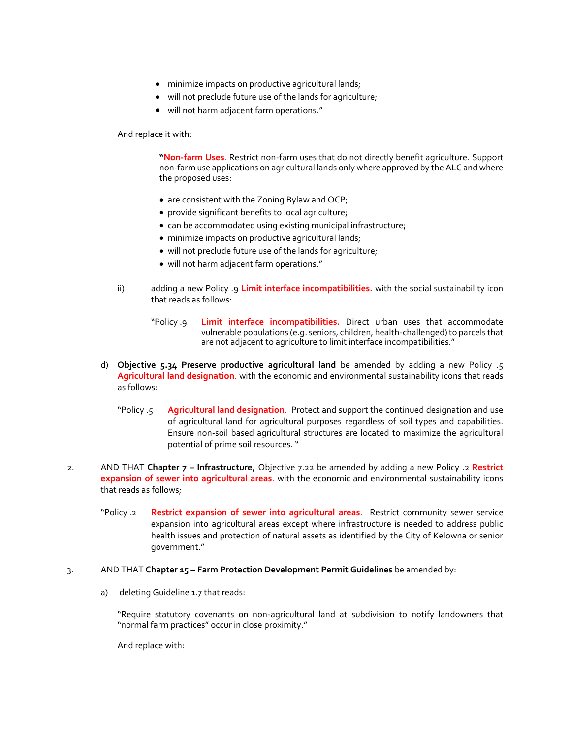- minimize impacts on productive agricultural lands;
- will not preclude future use of the lands for agriculture;
- will not harm adjacent farm operations."

And replace it with:

**"Non-farm Uses**. Restrict non-farm uses that do not directly benefit agriculture. Support non-farm use applications on agricultural lands only where approved by the ALC and where the proposed uses:

- are consistent with the Zoning Bylaw and OCP;
- provide significant benefits to local agriculture;
- can be accommodated using existing municipal infrastructure;
- minimize impacts on productive agricultural lands;
- will not preclude future use of the lands for agriculture;
- will not harm adjacent farm operations."
- ii) adding a new Policy .9 **Limit interface incompatibilities.** with the social sustainability icon that reads as follows:
	- "Policy .9 **Limit interface incompatibilities.** Direct urban uses that accommodate vulnerable populations (e.g. seniors, children, health-challenged) to parcels that are not adjacent to agriculture to limit interface incompatibilities."
- d) **Objective 5.34 Preserve productive agricultural land** be amended by adding a new Policy .5 **Agricultural land designation**. with the economic and environmental sustainability icons that reads as follows:
	- "Policy .5 **Agricultural land designation**. Protect and support the continued designation and use of agricultural land for agricultural purposes regardless of soil types and capabilities. Ensure non-soil based agricultural structures are located to maximize the agricultural potential of prime soil resources. "
- 2. AND THAT **Chapter 7 – Infrastructure,** Objective 7.22 be amended by adding a new Policy .2 **Restrict expansion of sewer into agricultural areas**. with the economic and environmental sustainability icons that reads as follows;
	- "Policy .2 **Restrict expansion of sewer into agricultural areas**. Restrict community sewer service expansion into agricultural areas except where infrastructure is needed to address public health issues and protection of natural assets as identified by the City of Kelowna or senior government."
- 3. AND THAT **Chapter 15 – Farm Protection Development Permit Guidelines** be amended by:
	- a) deleting Guideline 1.7 that reads:

"Require statutory covenants on non-agricultural land at subdivision to notify landowners that "normal farm practices" occur in close proximity."

And replace with: